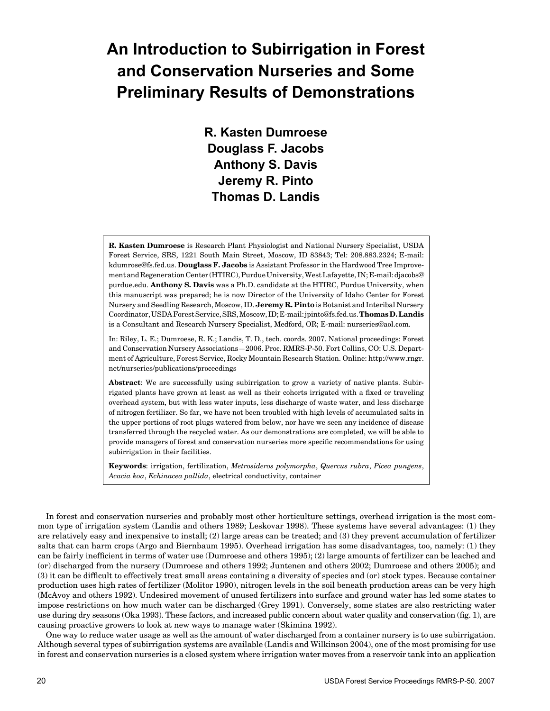# **An Introduction to Subirrigation in Forest and Conservation Nurseries and Some Preliminary Results of Demonstrations**

**R. Kasten Dumroese Douglass F. Jacobs Anthony S. Davis Jeremy R. Pinto Thomas D. Landis**

**R. Kasten Dumroese** is Research Plant Physiologist and National Nursery Specialist, USDA Forest Service, SRS, 1221 South Main Street, Moscow, ID 83843; Tel: 208.883.2324; E-mail: kdumrose@fs.fed.us. **Douglass F. Jacobs** is Assistant Professor in the Hardwood Tree Improvement and Regeneration Center (HTIRC), Purdue University, West Lafayette, IN; E-mail: djacobs@ purdue.edu. **Anthony S. Davis** was a Ph.D. candidate at the HTIRC, Purdue University, when this manuscript was prepared; he is now Director of the University of Idaho Center for Forest Nursery and Seedling Research, Moscow, ID. **Jeremy R. Pinto** is Botanist and Interibal Nursery Coordinator, USDA Forest Service, SRS, Moscow, ID; E-mail: jpinto@fs.fed.us. **Thomas D. Landis** is a Consultant and Research Nursery Specialist, Medford, OR; E-mail: nurseries@aol.com.

In: Riley, L. E.; Dumroese, R. K.; Landis, T. D., tech. coords. 2007. National proceedings: Forest and Conservation Nursery Associations—2006. Proc. RMRS-P-50. Fort Collins, CO: U.S. Department of Agriculture, Forest Service, Rocky Mountain Research Station. Online: http://www.rngr. net/nurseries/publications/proceedings

**Abstract**: We are successfully using subirrigation to grow a variety of native plants. Subirrigated plants have grown at least as well as their cohorts irrigated with a fixed or traveling overhead system, but with less water inputs, less discharge of waste water, and less discharge of nitrogen fertilizer. So far, we have not been troubled with high levels of accumulated salts in the upper portions of root plugs watered from below, nor have we seen any incidence of disease transferred through the recycled water. As our demonstrations are completed, we will be able to provide managers of forest and conservation nurseries more specific recommendations for using subirrigation in their facilities.

**Keywords**: irrigation, fertilization, *Metrosideros polymorpha*, *Quercus rubra*, *Picea pungens*, *Acacia koa*, *Echinacea pallida*, electrical conductivity, container

In forest and conservation nurseries and probably most other horticulture settings, overhead irrigation is the most common type of irrigation system (Landis and others 1989; Leskovar 1998). These systems have several advantages: (1) they are relatively easy and inexpensive to install; (2) large areas can be treated; and (3) they prevent accumulation of fertilizer salts that can harm crops (Argo and Biernbaum 1995). Overhead irrigation has some disadvantages, too, namely: (1) they can be fairly inefficient in terms of water use (Dumroese and others 1995); (2) large amounts of fertilizer can be leached and (or) discharged from the nursery (Dumroese and others 1992; Juntenen and others 2002; Dumroese and others 2005); and (3) it can be difficult to effectively treat small areas containing a diversity of species and (or) stock types. Because container production uses high rates of fertilizer (Molitor 1990), nitrogen levels in the soil beneath production areas can be very high (McAvoy and others 1992). Undesired movement of unused fertilizers into surface and ground water has led some states to impose restrictions on how much water can be discharged (Grey 1991). Conversely, some states are also restricting water use during dry seasons (Oka 1993). These factors, and increased public concern about water quality and conservation (fig. 1), are causing proactive growers to look at new ways to manage water (Skimina 1992).

One way to reduce water usage as well as the amount of water discharged from a container nursery is to use subirrigation. Although several types of subirrigation systems are available (Landis and Wilkinson 2004), one of the most promising for use in forest and conservation nurseries is a closed system where irrigation water moves from a reservoir tank into an application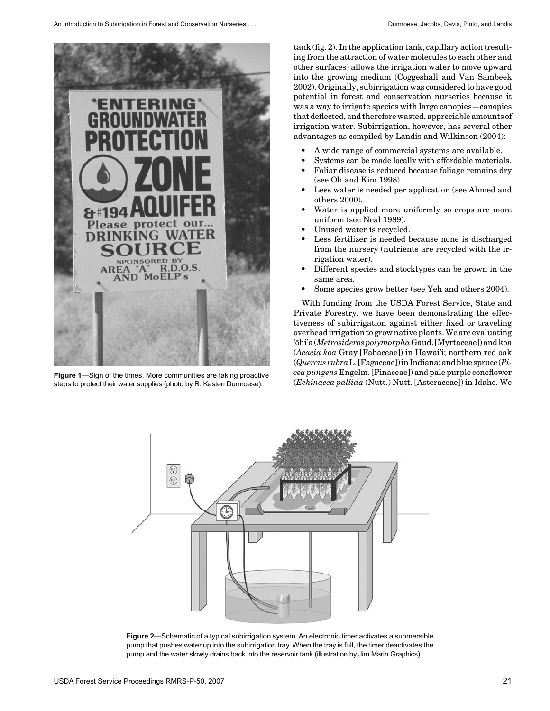

steps to protect their water supplies (photo by R. Kasten Dumroese).

tank (fig. 2). In the application tank, capillary action (resulting from the attraction of water molecules to each other and other surfaces) allows the irrigation water to move upward into the growing medium (Coggeshall and Van Sambeek 2002). Originally, subirrigation was considered to have good potential in forest and conservation nurseries because it was a way to irrigate species with large canopies—canopies that deflected, and therefore wasted, appreciable amounts of irrigation water. Subirrigation, however, has several other advantages as compiled by Landis and Wilkinson (2004):

- A wide range of commercial systems are available.
- Systems can be made locally with affordable materials.
- Foliar disease is reduced because foliage remains dry (see Oh and Kim 1998).
- Less water is needed per application (see Ahmed and others 2000).
- Water is applied more uniformly so crops are more uniform (see Neal 1989).
- Unused water is recycled.
- Less fertilizer is needed because none is discharged from the nursery (nutrients are recycled with the irrigation water).
- Different species and stocktypes can be grown in the same area.
- Some species grow better (see Yeh and others 2004).

With funding from the USDA Forest Service, State and Private Forestry, we have been demonstrating the effectiveness of subirrigation against either fixed or traveling overhead irrigation to grow native plants. We are evaluating 'ōhi'a (*Metrosideros polymorpha* Gaud. [Myrtaceae]) and koa (*Acacia koa* Gray [Fabaceae]) in Hawai'i; northern red oak (*Quercus rubra* L. [Fagaceae]) in Indiana; and blue spruce (*Picea pungens* Engelm. [Pinaceae]) and pale purple coneflower **Figure 1**—Sign of the times. More communities are taking proactive *cea pungens* Engelm. [Pinaceae]) and pale purple coneflower<br>steps to protect their water supplies (photo by R. Kasten Dummese) *(Echinacea pallida* (Nutt



**Figure 2**—Schematic of a typical subirrigation system. An electronic timer activates a submersible pump that pushes water up into the subirrigation tray. When the tray is full, the timer deactivates the pump and the water slowly drains back into the reservoir tank (illustration by Jim Marin Graphics).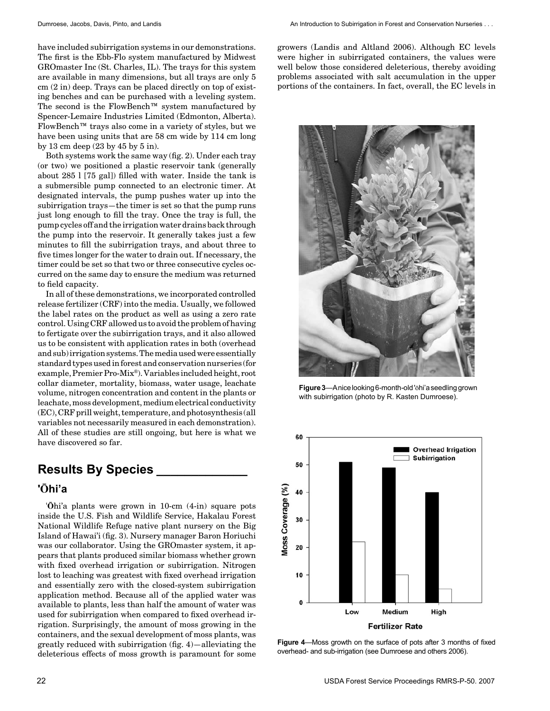have included subirrigation systems in our demonstrations. The first is the Ebb-Flo system manufactured by Midwest GROmaster Inc (St. Charles, IL). The trays for this system are available in many dimensions, but all trays are only 5 cm (2 in) deep. Trays can be placed directly on top of existing benches and can be purchased with a leveling system. The second is the FlowBench™ system manufactured by Spencer-Lemaire Industries Limited (Edmonton, Alberta). FlowBench™ trays also come in a variety of styles, but we have been using units that are 58 cm wide by 114 cm long by 13 cm deep (23 by 45 by 5 in).

Both systems work the same way (fig. 2). Under each tray (or two) we positioned a plastic reservoir tank (generally about 285 l [75 gal]) filled with water. Inside the tank is a submersible pump connected to an electronic timer. At designated intervals, the pump pushes water up into the subirrigation trays—the timer is set so that the pump runs just long enough to fill the tray. Once the tray is full, the pump cycles off and the irrigation water drains back through the pump into the reservoir. It generally takes just a few minutes to fill the subirrigation trays, and about three to five times longer for the water to drain out. If necessary, the timer could be set so that two or three consecutive cycles occurred on the same day to ensure the medium was returned to field capacity.

In all of these demonstrations, we incorporated controlled release fertilizer (CRF) into the media. Usually, we followed the label rates on the product as well as using a zero rate control. Using CRF allowed us to avoid the problem of having to fertigate over the subirrigation trays, and it also allowed us to be consistent with application rates in both (overhead and sub) irrigation systems. The media used were essentially standard types used in forest and conservation nurseries (for example, Premier Pro-Mix®). Variables included height, root collar diameter, mortality, biomass, water usage, leachate volume, nitrogen concentration and content in the plants or leachate, moss development, medium electrical conductivity (EC), CRF prill weight, temperature, and photosynthesis (all variables not necessarily measured in each demonstration). All of these studies are still ongoing, but here is what we have discovered so far.

# **Results By Species \_\_\_\_\_\_\_\_\_\_\_\_\_**

#### **'Ōhi'a**

'**Ō**hi'a plants were grown in 10-cm (4-in) square pots inside the U.S. Fish and Wildlife Service, Hakalau Forest National Wildlife Refuge native plant nursery on the Big Island of Hawai'i (fig. 3). Nursery manager Baron Horiuchi was our collaborator. Using the GROmaster system, it appears that plants produced similar biomass whether grown with fixed overhead irrigation or subirrigation. Nitrogen lost to leaching was greatest with fixed overhead irrigation and essentially zero with the closed-system subirrigation application method. Because all of the applied water was available to plants, less than half the amount of water was used for subirrigation when compared to fixed overhead irrigation. Surprisingly, the amount of moss growing in the containers, and the sexual development of moss plants, was greatly reduced with subirrigation (fig. 4)—alleviating the deleterious effects of moss growth is paramount for some growers (Landis and Altland 2006). Although EC levels were higher in subirrigated containers, the values were well below those considered deleterious, thereby avoiding problems associated with salt accumulation in the upper portions of the containers. In fact, overall, the EC levels in



**Figure 3**—A nice looking 6-month-old 'ōhi'a seedling grown with subirrigation (photo by R. Kasten Dumroese).



**Figure 4**—Moss growth on the surface of pots after 3 months of fixed overhead- and sub-irrigation (see Dumroese and others 2006).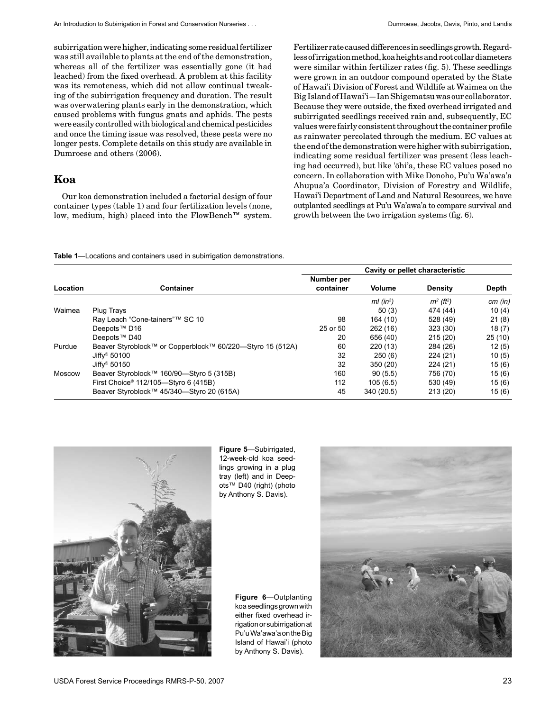subirrigation were higher, indicating some residual fertilizer was still available to plants at the end of the demonstration, whereas all of the fertilizer was essentially gone (it had leached) from the fixed overhead. A problem at this facility was its remoteness, which did not allow continual tweaking of the subirrigation frequency and duration. The result was overwatering plants early in the demonstration, which caused problems with fungus gnats and aphids. The pests were easily controlled with biological and chemical pesticides and once the timing issue was resolved, these pests were no longer pests. Complete details on this study are available in Dumroese and others (2006).

#### **Koa**

Our koa demonstration included a factorial design of four container types (table 1) and four fertilization levels (none, low, medium, high) placed into the FlowBench™ system. Fertilizer rate caused differences in seedlings growth. Regardless of irrigation method, koa heights and root collar diameters were similar within fertilizer rates (fig. 5). These seedlings were grown in an outdoor compound operated by the State of Hawai'i Division of Forest and Wildlife at Waimea on the Big Island of Hawai'i—Ian Shigematsu was our collaborator. Because they were outside, the fixed overhead irrigated and subirrigated seedlings received rain and, subsequently, EC values were fairly consistent throughout the container profile as rainwater percolated through the medium. EC values at the end of the demonstration were higher with subirrigation, indicating some residual fertilizer was present (less leaching had occurred), but like 'ōhi'a, these EC values posed no concern. In collaboration with Mike Donoho, Pu'u Wa'awa'a Ahupua'a Coordinator, Division of Forestry and Wildlife, Hawai'i Department of Land and Natural Resources, we have outplanted seedlings at Pu'u Wa'awa'a to compare survival and growth between the two irrigation systems (fig. 6).

**Table 1**—Locations and containers used in subirrigation demonstrations.

| Location |                                                           |                         | Cavity or pellet characteristic |                |        |
|----------|-----------------------------------------------------------|-------------------------|---------------------------------|----------------|--------|
|          | <b>Container</b>                                          | Number per<br>container | Volume                          | <b>Density</b> | Depth  |
|          |                                                           |                         |                                 |                |        |
| Waimea   | Plug Trays                                                |                         | 50(3)                           | 474 (44)       | 10(4)  |
|          | Ray Leach "Cone-tainers"™ SC 10                           | 98                      | 164(10)                         | 528 (49)       | 21(8)  |
|          | Deepots <sup>™</sup> D16                                  | 25 or 50                | 262 (16)                        | 323 (30)       | 18(7)  |
|          | Deepots <sup>™</sup> D40                                  | 20                      | 656 (40)                        | 215(20)        | 25(10) |
| Purdue   | Beaver Styroblock™ or Copperblock™ 60/220—Styro 15 (512A) | 60                      | 220 (13)                        | 284 (26)       | 12(5)  |
|          | Jiffy <sup>®</sup> 50100                                  | 32                      | 250(6)                          | 224(21)        | 10(5)  |
|          | Jiffy <sup>®</sup> 50150                                  | 32                      | 350 (20)                        | 224(21)        | 15(6)  |
| Moscow   | Beaver Styroblock™ 160/90—Styro 5 (315B)                  | 160                     | 90(5.5)                         | 756 (70)       | 15(6)  |
|          | First Choice <sup>®</sup> 112/105—Styro 6 (415B)          | 112                     | 105(6.5)                        | 530 (49)       | 15(6)  |
|          | Beaver Styroblock™ 45/340-Styro 20 (615A)                 | 45                      | 340 (20.5)                      | 213(20)        | 15(6)  |



**Figure 5**—Subirrigated, 12-week-old koa seedlings growing in a plug tray (left) and in Deepots™ D40 (right) (photo by Anthony S. Davis).

**Figure 6**—Outplanting koa seedlings grown with either fixed overhead irrigation or subirrigation at Pu'u Wa'awa'a on the Big Island of Hawai'i (photo by Anthony S. Davis).

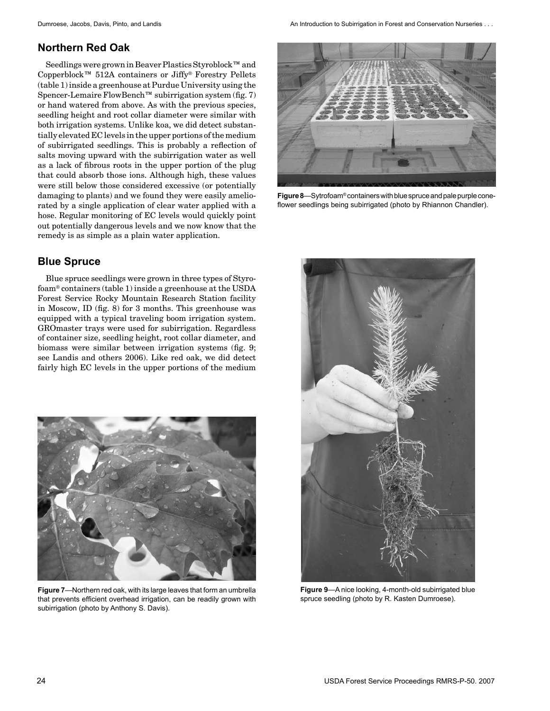# **Northern Red Oak**

Seedlings were grown in Beaver Plastics Styroblock™ and Copperblock™ 512A containers or Jiffy® Forestry Pellets (table 1) inside a greenhouse at Purdue University using the Spencer-Lemaire FlowBench™ subirrigation system (fig. 7) or hand watered from above. As with the previous species, seedling height and root collar diameter were similar with both irrigation systems. Unlike koa, we did detect substantially elevated EC levels in the upper portions of the medium of subirrigated seedlings. This is probably a reflection of salts moving upward with the subirrigation water as well as a lack of fibrous roots in the upper portion of the plug that could absorb those ions. Although high, these values were still below those considered excessive (or potentially damaging to plants) and we found they were easily ameliorated by a single application of clear water applied with a hose. Regular monitoring of EC levels would quickly point out potentially dangerous levels and we now know that the remedy is as simple as a plain water application.

# **Blue Spruce**

Blue spruce seedlings were grown in three types of Styrofoam® containers (table 1) inside a greenhouse at the USDA Forest Service Rocky Mountain Research Station facility in Moscow, ID (fig. 8) for 3 months. This greenhouse was equipped with a typical traveling boom irrigation system. GROmaster trays were used for subirrigation. Regardless of container size, seedling height, root collar diameter, and biomass were similar between irrigation systems (fig. 9; see Landis and others 2006). Like red oak, we did detect fairly high EC levels in the upper portions of the medium



**Figure 7**—Northern red oak, with its large leaves that form an umbrella that prevents efficient overhead irrigation, can be readily grown with subirrigation (photo by Anthony S. Davis).

Dumroese, Jacobs, Davis, Pinto, and Landis An Introduction to Subirrigation in Forest and Conservation Nurseries . . .



**Figure 8**—Sytrofoam® containers with blue spruce and pale purple coneflower seedlings being subirrigated (photo by Rhiannon Chandler).



**Figure 9**—A nice looking, 4-month-old subirrigated blue spruce seedling (photo by R. Kasten Dumroese).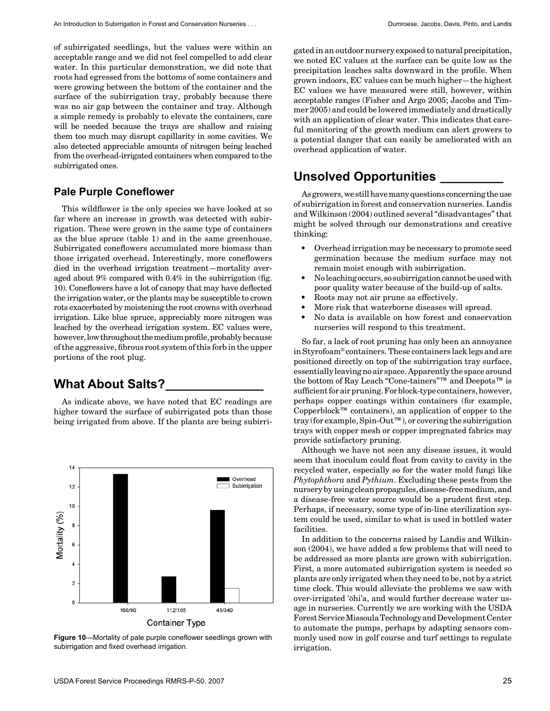of subirrigated seedlings, but the values were within an acceptable range and we did not feel compelled to add clear water. In this particular demonstration, we did note that roots had egressed from the bottoms of some containers and were growing between the bottom of the container and the surface of the subirrigation tray, probably because there was no air gap between the container and tray. Although a simple remedy is probably to elevate the containers, care will be needed because the trays are shallow and raising them too much may disrupt capillarity in some cavities. We also detected appreciable amounts of nitrogen being leached from the overhead-irrigated containers when compared to the subirrigated ones.

#### **Pale Purple Coneflower**

This wildflower is the only species we have looked at so far where an increase in growth was detected with subirrigation. These were grown in the same type of containers as the blue spruce (table 1) and in the same greenhouse. Subirrigated coneflowers accumulated more biomass than those irrigated overhead. Interestingly, more coneflowers died in the overhead irrigation treatment—mortality averaged about 9% compared with 0.4% in the subirrigation (fig. 10). Coneflowers have a lot of canopy that may have deflected the irrigation water, or the plants may be susceptible to crown rots exacerbated by moistening the root crowns with overhead irrigation. Like blue spruce, appreciably more nitrogen was leached by the overhead irrigation system. EC values were, however, low throughout the medium profile, probably because of the aggressive, fibrous root system of this forb in the upper portions of the root plug.

# **What About Salts?\_\_\_\_\_\_\_\_\_\_\_\_\_\_**

As indicate above, we have noted that EC readings are higher toward the surface of subirrigated pots than those being irrigated from above. If the plants are being subirri-



**Figure 10**—Mortality of pale purple coneflower seedlings grown with subirrigation and fixed overhead irrigation.

gated in an outdoor nursery exposed to natural precipitation, we noted EC values at the surface can be quite low as the precipitation leaches salts downward in the profile. When grown indoors, EC values can be much higher—the highest EC values we have measured were still, however, within acceptable ranges (Fisher and Argo 2005; Jacobs and Timmer 2005) and could be lowered immediately and drastically with an application of clear water. This indicates that careful monitoring of the growth medium can alert growers to a potential danger that can easily be ameliorated with an overhead application of water.

# **Unsolved Opportunities \_\_\_\_\_\_\_\_\_**

As growers, we still have many questions concerning the use of subirrigation in forest and conservation nurseries. Landis and Wilkinson (2004) outlined several "disadvantages" that might be solved through our demonstrations and creative thinking:

- Overhead irrigation may be necessary to promote seed germination because the medium surface may not remain moist enough with subirrigation.
- No leaching occurs, so subirrigation cannot be used with poor quality water because of the build-up of salts.
- Roots may not air prune as effectively.
- More risk that waterborne diseases will spread.
- No data is available on how forest and conservation nurseries will respond to this treatment.

So far, a lack of root pruning has only been an annoyance in Styrofoam® containers. These containers lack legs and are positioned directly on top of the subirrigation tray surface, essentially leaving no air space. Apparently the space around the bottom of Ray Leach "Cone-tainers"™ and Deepots™ is sufficient for air pruning. For block-type containers, however, perhaps copper coatings within containers (for example, Copperblock™ containers), an application of copper to the tray (for example, Spin-Out™), or covering the subirrigation trays with copper mesh or copper impregnated fabrics may provide satisfactory pruning.

Although we have not seen any disease issues, it would seem that inoculum could float from cavity to cavity in the recycled water, especially so for the water mold fungi like *Phytophthora* and *Pythium*. Excluding these pests from the nursery by using clean propagules, disease-free medium, and a disease-free water source would be a prudent first step. Perhaps, if necessary, some type of in-line sterilization system could be used, similar to what is used in bottled water facilities.

In addition to the concerns raised by Landis and Wilkinson (2004), we have added a few problems that will need to be addressed as more plants are grown with subirrigation. First, a more automated subirrigation system is needed so plants are only irrigated when they need to be, not by a strict time clock. This would alleviate the problems we saw with over-irrigated 'ōhi'a, and would further decrease water usage in nurseries. Currently we are working with the USDA Forest Service Missoula Technology and Development Center to automate the pumps, perhaps by adapting sensors commonly used now in golf course and turf settings to regulate irrigation.